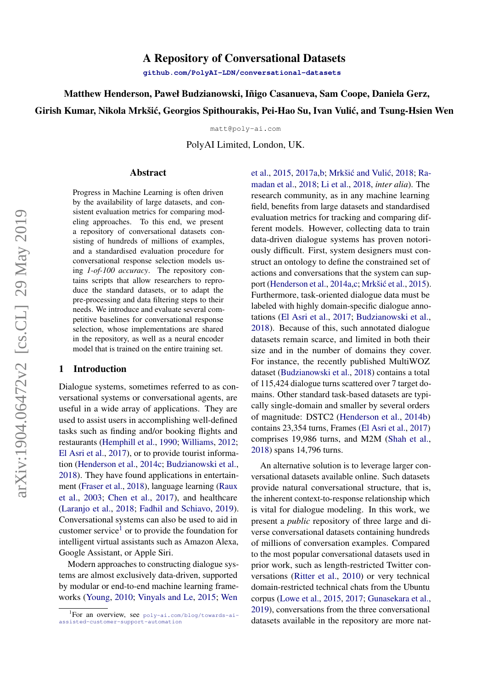# A Repository of Conversational Datasets

**[github.com/PolyAI-LDN/conversational-datasets](https://github.com/PolyAI-LDN/conversational-datasets)**

Matthew Henderson, Paweł Budzianowski, Iñigo Casanueva, Sam Coope, Daniela Gerz,

Girish Kumar, Nikola Mrkšić, Georgios Spithourakis, Pei-Hao Su, Ivan Vulić, and Tsung-Hsien Wen

matt@poly-ai.com

PolyAI Limited, London, UK.

#### Abstract

Progress in Machine Learning is often driven by the availability of large datasets, and consistent evaluation metrics for comparing modeling approaches. To this end, we present a repository of conversational datasets consisting of hundreds of millions of examples, and a standardised evaluation procedure for conversational response selection models using *1-of-100 accuracy*. The repository contains scripts that allow researchers to reproduce the standard datasets, or to adapt the pre-processing and data filtering steps to their needs. We introduce and evaluate several competitive baselines for conversational response selection, whose implementations are shared in the repository, as well as a neural encoder model that is trained on the entire training set.

#### 1 Introduction

Dialogue systems, sometimes referred to as conversational systems or conversational agents, are useful in a wide array of applications. They are used to assist users in accomplishing well-defined tasks such as finding and/or booking flights and restaurants [\(Hemphill et al.,](#page-6-0) [1990;](#page-6-0) [Williams,](#page-7-0) [2012;](#page-7-0) [El Asri et al.,](#page-6-1) [2017\)](#page-6-1), or to provide tourist information [\(Henderson et al.,](#page-6-2) [2014c;](#page-6-2) [Budzianowski et al.,](#page-6-3) [2018\)](#page-6-3). They have found applications in entertainment [\(Fraser et al.,](#page-6-4) [2018\)](#page-6-4), language learning [\(Raux](#page-7-1) [et al.,](#page-7-1) [2003;](#page-7-1) [Chen et al.,](#page-6-5) [2017\)](#page-6-5), and healthcare [\(Laranjo et al.,](#page-6-6) [2018;](#page-6-6) [Fadhil and Schiavo,](#page-6-7) [2019\)](#page-6-7). Conversational systems can also be used to aid in customer service<sup>[1](#page-0-0)</sup> or to provide the foundation for intelligent virtual assistants such as Amazon Alexa, Google Assistant, or Apple Siri.

Modern approaches to constructing dialogue systems are almost exclusively data-driven, supported by modular or end-to-end machine learning frameworks [\(Young,](#page-8-0) [2010;](#page-8-0) [Vinyals and Le,](#page-7-2) [2015;](#page-7-2) [Wen](#page-7-3)

[et al.,](#page-7-3) [2015,](#page-7-3) [2017a](#page-7-4)[,b;](#page-7-5) Mrkšić and Vulić, [2018;](#page-7-6) [Ra](#page-7-7)[madan et al.,](#page-7-7) [2018;](#page-7-7) [Li et al.,](#page-7-8) [2018,](#page-7-8) *inter alia*). The research community, as in any machine learning field, benefits from large datasets and standardised evaluation metrics for tracking and comparing different models. However, collecting data to train data-driven dialogue systems has proven notoriously difficult. First, system designers must construct an ontology to define the constrained set of actions and conversations that the system can sup-port [\(Henderson et al.,](#page-6-8) [2014a,](#page-6-8)[c;](#page-6-2) Mrkšić et al., [2015\)](#page-7-9). Furthermore, task-oriented dialogue data must be labeled with highly domain-specific dialogue annotations [\(El Asri et al.,](#page-6-1) [2017;](#page-6-1) [Budzianowski et al.,](#page-6-3) [2018\)](#page-6-3). Because of this, such annotated dialogue datasets remain scarce, and limited in both their size and in the number of domains they cover. For instance, the recently published MultiWOZ dataset [\(Budzianowski et al.,](#page-6-3) [2018\)](#page-6-3) contains a total of 115,424 dialogue turns scattered over 7 target domains. Other standard task-based datasets are typically single-domain and smaller by several orders of magnitude: DSTC2 [\(Henderson et al.,](#page-6-9) [2014b\)](#page-6-9) contains 23,354 turns, Frames [\(El Asri et al.,](#page-6-1) [2017\)](#page-6-1) comprises 19,986 turns, and M2M [\(Shah et al.,](#page-7-10) [2018\)](#page-7-10) spans 14,796 turns.

An alternative solution is to leverage larger conversational datasets available online. Such datasets provide natural conversational structure, that is, the inherent context-to-response relationship which is vital for dialogue modeling. In this work, we present a *public* repository of three large and diverse conversational datasets containing hundreds of millions of conversation examples. Compared to the most popular conversational datasets used in prior work, such as length-restricted Twitter conversations [\(Ritter et al.,](#page-7-11) [2010\)](#page-7-11) or very technical domain-restricted technical chats from the Ubuntu corpus [\(Lowe et al.,](#page-7-12) [2015,](#page-7-12) [2017;](#page-7-13) [Gunasekara et al.,](#page-6-10) [2019\)](#page-6-10), conversations from the three conversational datasets available in the repository are more nat-

<span id="page-0-0"></span><sup>1</sup> For an overview, see [poly-ai.com/blog/towards-ai](#page-7-3)[assisted-customer-support-automation](#page-7-3)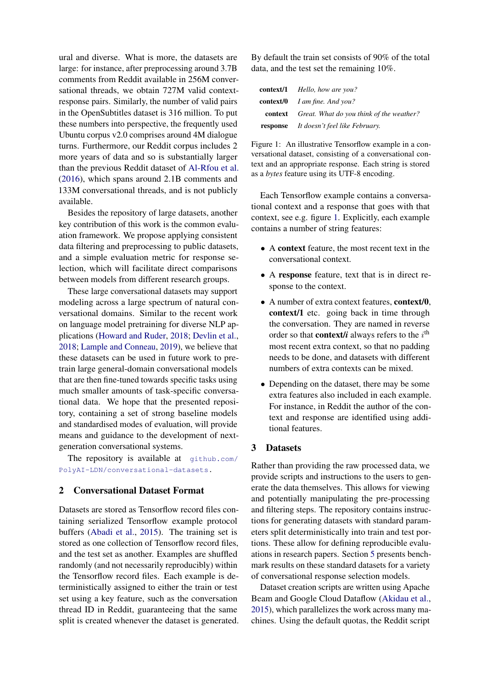ural and diverse. What is more, the datasets are large: for instance, after preprocessing around 3.7B comments from Reddit available in 256M conversational threads, we obtain 727M valid contextresponse pairs. Similarly, the number of valid pairs in the OpenSubtitles dataset is 316 million. To put these numbers into perspective, the frequently used Ubuntu corpus v2.0 comprises around 4M dialogue turns. Furthermore, our Reddit corpus includes 2 more years of data and so is substantially larger than the previous Reddit dataset of [Al-Rfou et al.](#page-6-11) [\(2016\)](#page-6-11), which spans around 2.1B comments and 133M conversational threads, and is not publicly available.

Besides the repository of large datasets, another key contribution of this work is the common evaluation framework. We propose applying consistent data filtering and preprocessing to public datasets, and a simple evaluation metric for response selection, which will facilitate direct comparisons between models from different research groups.

These large conversational datasets may support modeling across a large spectrum of natural conversational domains. Similar to the recent work on language model pretraining for diverse NLP applications [\(Howard and Ruder,](#page-6-12) [2018;](#page-6-12) [Devlin et al.,](#page-6-13) [2018;](#page-6-13) [Lample and Conneau,](#page-6-14) [2019\)](#page-6-14), we believe that these datasets can be used in future work to pretrain large general-domain conversational models that are then fine-tuned towards specific tasks using much smaller amounts of task-specific conversational data. We hope that the presented repository, containing a set of strong baseline models and standardised modes of evaluation, will provide means and guidance to the development of nextgeneration conversational systems.

The repository is available at [github.com/](https://github.com/PolyAI-LDN/conversational-datasets) [PolyAI-LDN/conversational-datasets.](https://github.com/PolyAI-LDN/conversational-datasets)

# 2 Conversational Dataset Format

Datasets are stored as Tensorflow record files containing serialized Tensorflow example protocol buffers [\(Abadi et al.,](#page-5-0) [2015\)](#page-5-0). The training set is stored as one collection of Tensorflow record files, and the test set as another. Examples are shuffled randomly (and not necessarily reproducibly) within the Tensorflow record files. Each example is deterministically assigned to either the train or test set using a key feature, such as the conversation thread ID in Reddit, guaranteeing that the same split is created whenever the dataset is generated.

By default the train set consists of 90% of the total data, and the test set the remaining 10%.

<span id="page-1-0"></span>

| <b>context/1</b> <i>Hello, how are you?</i>             |
|---------------------------------------------------------|
| <b>context/0</b> <i>I am fine. And you?</i>             |
| <b>context</b> Great. What do you think of the weather? |
| <b>response</b> It doesn't feel like February.          |

Figure 1: An illustrative Tensorflow example in a conversational dataset, consisting of a conversational context and an appropriate response. Each string is stored as a *bytes* feature using its UTF-8 encoding.

Each Tensorflow example contains a conversational context and a response that goes with that context, see e.g. figure [1.](#page-1-0) Explicitly, each example contains a number of string features:

- A context feature, the most recent text in the conversational context.
- A response feature, text that is in direct response to the context.
- A number of extra context features, **context/0**, context/1 etc. going back in time through the conversation. They are named in reverse order so that **context/i** always refers to the  $i$ <sup>th</sup> most recent extra context, so that no padding needs to be done, and datasets with different numbers of extra contexts can be mixed.
- Depending on the dataset, there may be some extra features also included in each example. For instance, in Reddit the author of the context and response are identified using additional features.

#### <span id="page-1-1"></span>3 Datasets

Rather than providing the raw processed data, we provide scripts and instructions to the users to generate the data themselves. This allows for viewing and potentially manipulating the pre-processing and filtering steps. The repository contains instructions for generating datasets with standard parameters split deterministically into train and test portions. These allow for defining reproducible evaluations in research papers. Section [5](#page-4-0) presents benchmark results on these standard datasets for a variety of conversational response selection models.

Dataset creation scripts are written using Apache Beam and Google Cloud Dataflow [\(Akidau et al.,](#page-5-1) [2015\)](#page-5-1), which parallelizes the work across many machines. Using the default quotas, the Reddit script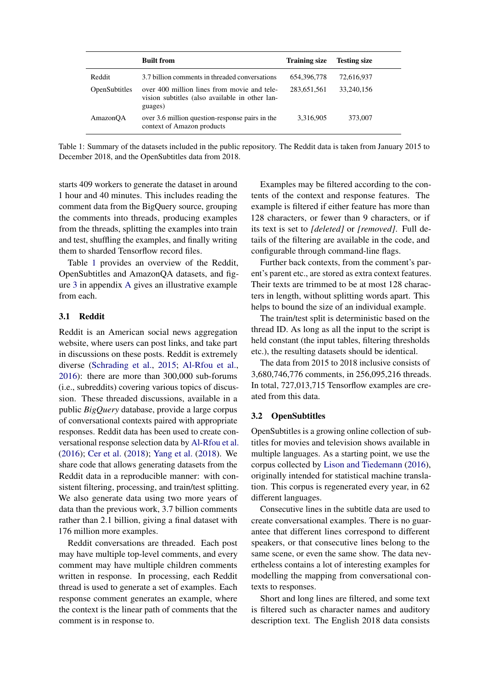<span id="page-2-0"></span>

|               | <b>Built from</b>                                                                                        | <b>Training size</b> | <b>Testing size</b> |  |
|---------------|----------------------------------------------------------------------------------------------------------|----------------------|---------------------|--|
| Reddit        | 3.7 billion comments in threaded conversations                                                           | 654, 396, 778        | 72,616,937          |  |
| OpenSubtitles | over 400 million lines from movie and tele-<br>vision subtitles (also available in other lan-<br>guages) | 283,651,561          | 33,240,156          |  |
| AmazonQA      | over 3.6 million question-response pairs in the<br>context of Amazon products                            | 3,316,905            | 373,007             |  |

Table 1: Summary of the datasets included in the public repository. The Reddit data is taken from January 2015 to December 2018, and the OpenSubtitles data from 2018.

starts 409 workers to generate the dataset in around 1 hour and 40 minutes. This includes reading the comment data from the BigQuery source, grouping the comments into threads, producing examples from the threads, splitting the examples into train and test, shuffling the examples, and finally writing them to sharded Tensorflow record files.

Table [1](#page-2-0) provides an overview of the Reddit, OpenSubtitles and AmazonQA datasets, and figure [3](#page-9-0) in appendix [A](#page-9-1) gives an illustrative example from each.

# 3.1 Reddit

Reddit is an American social news aggregation website, where users can post links, and take part in discussions on these posts. Reddit is extremely diverse [\(Schrading et al.,](#page-7-14) [2015;](#page-7-14) [Al-Rfou et al.,](#page-6-11) [2016\)](#page-6-11): there are more than 300,000 sub-forums (i.e., subreddits) covering various topics of discussion. These threaded discussions, available in a public *BigQuery* database, provide a large corpus of conversational contexts paired with appropriate responses. Reddit data has been used to create conversational response selection data by [Al-Rfou et al.](#page-6-11) [\(2016\)](#page-6-11); [Cer et al.](#page-6-15) [\(2018\)](#page-6-15); [Yang et al.](#page-8-1) [\(2018\)](#page-8-1). We share code that allows generating datasets from the Reddit data in a reproducible manner: with consistent filtering, processing, and train/test splitting. We also generate data using two more years of data than the previous work, 3.7 billion comments rather than 2.1 billion, giving a final dataset with 176 million more examples.

Reddit conversations are threaded. Each post may have multiple top-level comments, and every comment may have multiple children comments written in response. In processing, each Reddit thread is used to generate a set of examples. Each response comment generates an example, where the context is the linear path of comments that the comment is in response to.

Examples may be filtered according to the contents of the context and response features. The example is filtered if either feature has more than 128 characters, or fewer than 9 characters, or if its text is set to *[deleted]* or *[removed]*. Full details of the filtering are available in the code, and configurable through command-line flags.

Further back contexts, from the comment's parent's parent etc., are stored as extra context features. Their texts are trimmed to be at most 128 characters in length, without splitting words apart. This helps to bound the size of an individual example.

The train/test split is deterministic based on the thread ID. As long as all the input to the script is held constant (the input tables, filtering thresholds etc.), the resulting datasets should be identical.

The data from 2015 to 2018 inclusive consists of 3,680,746,776 comments, in 256,095,216 threads. In total, 727,013,715 Tensorflow examples are created from this data.

### 3.2 OpenSubtitles

OpenSubtitles is a growing online collection of subtitles for movies and television shows available in multiple languages. As a starting point, we use the corpus collected by [Lison and Tiedemann](#page-7-15) [\(2016\)](#page-7-15), originally intended for statistical machine translation. This corpus is regenerated every year, in 62 different languages.

Consecutive lines in the subtitle data are used to create conversational examples. There is no guarantee that different lines correspond to different speakers, or that consecutive lines belong to the same scene, or even the same show. The data nevertheless contains a lot of interesting examples for modelling the mapping from conversational contexts to responses.

Short and long lines are filtered, and some text is filtered such as character names and auditory description text. The English 2018 data consists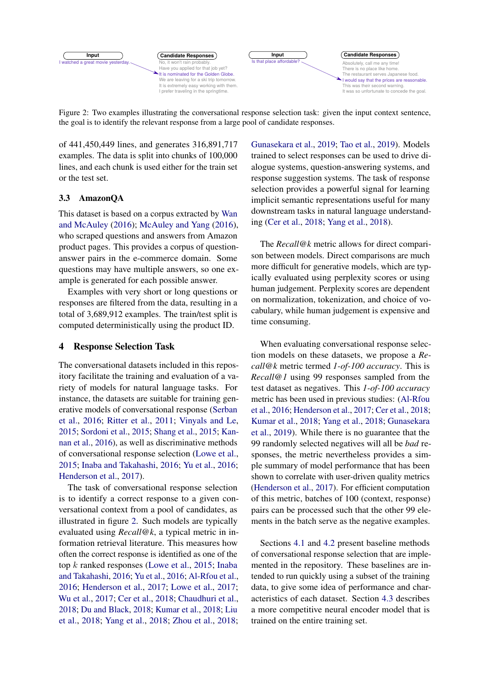<span id="page-3-0"></span>

Figure 2: Two examples illustrating the conversational response selection task: given the input context sentence, the goal is to identify the relevant response from a large pool of candidate responses.

of 441,450,449 lines, and generates 316,891,717 examples. The data is split into chunks of 100,000 lines, and each chunk is used either for the train set or the test set.

# 3.3 AmazonQA

This dataset is based on a corpus extracted by [Wan](#page-7-16) [and McAuley](#page-7-16) [\(2016\)](#page-7-16); [McAuley and Yang](#page-7-17) [\(2016\)](#page-7-17), who scraped questions and answers from Amazon product pages. This provides a corpus of questionanswer pairs in the e-commerce domain. Some questions may have multiple answers, so one example is generated for each possible answer.

Examples with very short or long questions or responses are filtered from the data, resulting in a total of 3,689,912 examples. The train/test split is computed deterministically using the product ID.

# <span id="page-3-1"></span>4 Response Selection Task

The conversational datasets included in this repository facilitate the training and evaluation of a variety of models for natural language tasks. For instance, the datasets are suitable for training generative models of conversational response [\(Serban](#page-7-18) [et al.,](#page-7-18) [2016;](#page-7-18) [Ritter et al.,](#page-7-19) [2011;](#page-7-19) [Vinyals and Le,](#page-7-2) [2015;](#page-7-2) [Sordoni et al.,](#page-7-20) [2015;](#page-7-20) [Shang et al.,](#page-7-21) [2015;](#page-7-21) [Kan](#page-6-16)[nan et al.,](#page-6-16) [2016\)](#page-6-16), as well as discriminative methods of conversational response selection [\(Lowe et al.,](#page-7-12) [2015;](#page-7-12) [Inaba and Takahashi,](#page-6-17) [2016;](#page-6-17) [Yu et al.,](#page-8-2) [2016;](#page-8-2) [Henderson et al.,](#page-6-18) [2017\)](#page-6-18).

The task of conversational response selection is to identify a correct response to a given conversational context from a pool of candidates, as illustrated in figure [2.](#page-3-0) Such models are typically evaluated using *Recall@k*, a typical metric in information retrieval literature. This measures how often the correct response is identified as one of the top k ranked responses [\(Lowe et al.,](#page-7-12) [2015;](#page-7-12) [Inaba](#page-6-17) [and Takahashi,](#page-6-17) [2016;](#page-6-17) [Yu et al.,](#page-8-2) [2016;](#page-8-2) [Al-Rfou et al.,](#page-6-11) [2016;](#page-6-11) [Henderson et al.,](#page-6-18) [2017;](#page-6-18) [Lowe et al.,](#page-7-13) [2017;](#page-7-13) [Wu et al.,](#page-8-3) [2017;](#page-8-3) [Cer et al.,](#page-6-15) [2018;](#page-6-15) [Chaudhuri et al.,](#page-6-19) [2018;](#page-6-19) [Du and Black,](#page-6-20) [2018;](#page-6-20) [Kumar et al.,](#page-6-21) [2018;](#page-6-21) [Liu](#page-7-22) [et al.,](#page-7-22) [2018;](#page-7-22) [Yang et al.,](#page-8-1) [2018;](#page-8-1) [Zhou et al.,](#page-8-4) [2018;](#page-8-4) [Gunasekara et al.,](#page-6-10) [2019;](#page-6-10) [Tao et al.,](#page-7-23) [2019\)](#page-7-23). Models trained to select responses can be used to drive dialogue systems, question-answering systems, and response suggestion systems. The task of response selection provides a powerful signal for learning implicit semantic representations useful for many downstream tasks in natural language understanding [\(Cer et al.,](#page-6-15) [2018;](#page-6-15) [Yang et al.,](#page-8-1) [2018\)](#page-8-1).

The *Recall@k* metric allows for direct comparison between models. Direct comparisons are much more difficult for generative models, which are typically evaluated using perplexity scores or using human judgement. Perplexity scores are dependent on normalization, tokenization, and choice of vocabulary, while human judgement is expensive and time consuming.

When evaluating conversational response selection models on these datasets, we propose a *Recall@k* metric termed *1-of-100 accuracy*. This is *Recall@1* using 99 responses sampled from the test dataset as negatives. This *1-of-100 accuracy* metric has been used in previous studies: [\(Al-Rfou](#page-6-11) [et al.,](#page-6-11) [2016;](#page-6-11) [Henderson et al.,](#page-6-18) [2017;](#page-6-18) [Cer et al.,](#page-6-15) [2018;](#page-6-15) [Kumar et al.,](#page-6-21) [2018;](#page-6-21) [Yang et al.,](#page-8-1) [2018;](#page-8-1) [Gunasekara](#page-6-10) [et al.,](#page-6-10) [2019\)](#page-6-10). While there is no guarantee that the 99 randomly selected negatives will all be *bad* responses, the metric nevertheless provides a simple summary of model performance that has been shown to correlate with user-driven quality metrics [\(Henderson et al.,](#page-6-18) [2017\)](#page-6-18). For efficient computation of this metric, batches of 100 (context, response) pairs can be processed such that the other 99 elements in the batch serve as the negative examples.

Sections [4.1](#page-4-1) and [4.2](#page-4-2) present baseline methods of conversational response selection that are implemented in the repository. These baselines are intended to run quickly using a subset of the training data, to give some idea of performance and characteristics of each dataset. Section [4.3](#page-4-3) describes a more competitive neural encoder model that is trained on the entire training set.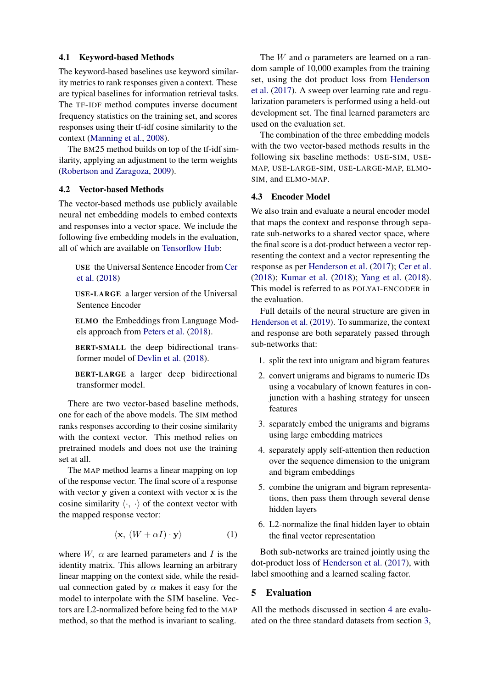### <span id="page-4-1"></span>4.1 Keyword-based Methods

The keyword-based baselines use keyword similarity metrics to rank responses given a context. These are typical baselines for information retrieval tasks. The TF-IDF method computes inverse document frequency statistics on the training set, and scores responses using their tf-idf cosine similarity to the context [\(Manning et al.,](#page-7-24) [2008\)](#page-7-24).

The BM25 method builds on top of the tf-idf similarity, applying an adjustment to the term weights [\(Robertson and Zaragoza,](#page-7-25) [2009\)](#page-7-25).

#### <span id="page-4-2"></span>4.2 Vector-based Methods

The vector-based methods use publicly available neural net embedding models to embed contexts and responses into a vector space. We include the following five embedding models in the evaluation, all of which are available on [Tensorflow Hub:](https://www.tensorflow.org/hub)

USE the Universal Sentence Encoder from [Cer](#page-6-15) [et al.](#page-6-15) [\(2018\)](#page-6-15)

USE-LARGE a larger version of the Universal Sentence Encoder

ELMO the Embeddings from Language Models approach from [Peters et al.](#page-7-26) [\(2018\)](#page-7-26).

BERT-SMALL the deep bidirectional transformer model of [Devlin et al.](#page-6-13) [\(2018\)](#page-6-13).

BERT-LARGE a larger deep bidirectional transformer model.

There are two vector-based baseline methods, one for each of the above models. The SIM method ranks responses according to their cosine similarity with the context vector. This method relies on pretrained models and does not use the training set at all.

The MAP method learns a linear mapping on top of the response vector. The final score of a response with vector y given a context with vector x is the cosine similarity  $\langle \cdot, \cdot \rangle$  of the context vector with the mapped response vector:

$$
\langle \mathbf{x}, \, (W + \alpha I) \cdot \mathbf{y} \rangle \tag{1}
$$

where  $W$ ,  $\alpha$  are learned parameters and I is the identity matrix. This allows learning an arbitrary linear mapping on the context side, while the residual connection gated by  $\alpha$  makes it easy for the model to interpolate with the SIM baseline. Vectors are L2-normalized before being fed to the MAP method, so that the method is invariant to scaling.

The W and  $\alpha$  parameters are learned on a random sample of 10,000 examples from the training set, using the dot product loss from [Henderson](#page-6-18) [et al.](#page-6-18) [\(2017\)](#page-6-18). A sweep over learning rate and regularization parameters is performed using a held-out development set. The final learned parameters are used on the evaluation set.

The combination of the three embedding models with the two vector-based methods results in the following six baseline methods: USE-SIM, USE-MAP, USE-LARGE-SIM, USE-LARGE-MAP, ELMO-SIM, and ELMO-MAP.

#### <span id="page-4-3"></span>4.3 Encoder Model

We also train and evaluate a neural encoder model that maps the context and response through separate sub-networks to a shared vector space, where the final score is a dot-product between a vector representing the context and a vector representing the response as per [Henderson et al.](#page-6-18) [\(2017\)](#page-6-18); [Cer et al.](#page-6-15) [\(2018\)](#page-6-15); [Kumar et al.](#page-6-21) [\(2018\)](#page-6-21); [Yang et al.](#page-8-1) [\(2018\)](#page-8-1). This model is referred to as POLYAI-ENCODER in the evaluation.

Full details of the neural structure are given in [Henderson et al.](#page-6-22) [\(2019\)](#page-6-22). To summarize, the context and response are both separately passed through sub-networks that:

- 1. split the text into unigram and bigram features
- 2. convert unigrams and bigrams to numeric IDs using a vocabulary of known features in conjunction with a hashing strategy for unseen features
- 3. separately embed the unigrams and bigrams using large embedding matrices
- 4. separately apply self-attention then reduction over the sequence dimension to the unigram and bigram embeddings
- 5. combine the unigram and bigram representations, then pass them through several dense hidden layers
- 6. L2-normalize the final hidden layer to obtain the final vector representation

Both sub-networks are trained jointly using the dot-product loss of [Henderson et al.](#page-6-18) [\(2017\)](#page-6-18), with label smoothing and a learned scaling factor.

### <span id="page-4-0"></span>5 Evaluation

All the methods discussed in section [4](#page-3-1) are evaluated on the three standard datasets from section [3,](#page-1-1)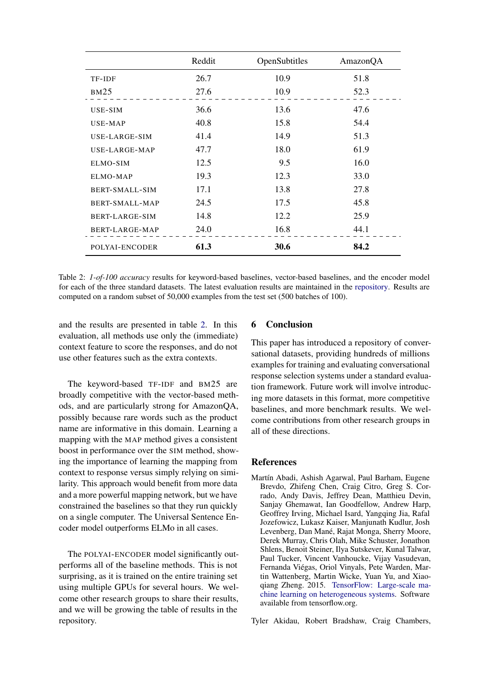<span id="page-5-2"></span>

|                       | Reddit | OpenSubtitles | AmazonQA |
|-----------------------|--------|---------------|----------|
| TF-IDF                | 26.7   | 10.9          | 51.8     |
| BM25                  | 27.6   | 10.9          | 52.3     |
| USE-SIM               | 36.6   | 13.6          | 47.6     |
| USE-MAP               | 40.8   | 15.8          | 54.4     |
| USE-LARGE-SIM         | 41.4   | 14.9          | 51.3     |
| USE-LARGE-MAP         | 47.7   | 18.0          | 61.9     |
| ELMO-SIM              | 12.5   | 9.5           | 16.0     |
| ELMO-MAP              | 19.3   | 12.3          | 33.0     |
| <b>BERT-SMALL-SIM</b> | 17.1   | 13.8          | 27.8     |
| BERT-SMALL-MAP        | 24.5   | 17.5          | 45.8     |
| BERT-LARGE-SIM        | 14.8   | 12.2          | 25.9     |
| BERT-LARGE-MAP        | 24.0   | 16.8          | 44.1     |
| POLYAI-ENCODER        | 61.3   | 30.6          | 84.2     |

Table 2: *1-of-100 accuracy* results for keyword-based baselines, vector-based baselines, and the encoder model for each of the three standard datasets. The latest evaluation results are maintained in the [repository.](https://github.com/PolyAI-LDN/conversational-datasets/blob/master/BENCHMARKS.md) Results are computed on a random subset of 50,000 examples from the test set (500 batches of 100).

and the results are presented in table [2.](#page-5-2) In this evaluation, all methods use only the (immediate) context feature to score the responses, and do not use other features such as the extra contexts.

The keyword-based TF-IDF and BM25 are broadly competitive with the vector-based methods, and are particularly strong for AmazonQA, possibly because rare words such as the product name are informative in this domain. Learning a mapping with the MAP method gives a consistent boost in performance over the SIM method, showing the importance of learning the mapping from context to response versus simply relying on similarity. This approach would benefit from more data and a more powerful mapping network, but we have constrained the baselines so that they run quickly on a single computer. The Universal Sentence Encoder model outperforms ELMo in all cases.

The POLYAI-ENCODER model significantly outperforms all of the baseline methods. This is not surprising, as it is trained on the entire training set using multiple GPUs for several hours. We welcome other research groups to share their results, and we will be growing the table of results in the repository.

# 6 Conclusion

This paper has introduced a repository of conversational datasets, providing hundreds of millions examples for training and evaluating conversational response selection systems under a standard evaluation framework. Future work will involve introducing more datasets in this format, more competitive baselines, and more benchmark results. We welcome contributions from other research groups in all of these directions.

# References

<span id="page-5-0"></span>Martín Abadi, Ashish Agarwal, Paul Barham, Eugene Brevdo, Zhifeng Chen, Craig Citro, Greg S. Corrado, Andy Davis, Jeffrey Dean, Matthieu Devin, Sanjay Ghemawat, Ian Goodfellow, Andrew Harp, Geoffrey Irving, Michael Isard, Yangqing Jia, Rafal Jozefowicz, Lukasz Kaiser, Manjunath Kudlur, Josh Levenberg, Dan Mané, Rajat Monga, Sherry Moore, Derek Murray, Chris Olah, Mike Schuster, Jonathon Shlens, Benoit Steiner, Ilya Sutskever, Kunal Talwar, Paul Tucker, Vincent Vanhoucke, Vijay Vasudevan, Fernanda Viégas, Oriol Vinyals, Pete Warden, Martin Wattenberg, Martin Wicke, Yuan Yu, and Xiaoqiang Zheng. 2015. [TensorFlow: Large-scale ma](http://tensorflow.org/)[chine learning on heterogeneous systems.](http://tensorflow.org/) Software available from tensorflow.org.

<span id="page-5-1"></span>Tyler Akidau, Robert Bradshaw, Craig Chambers,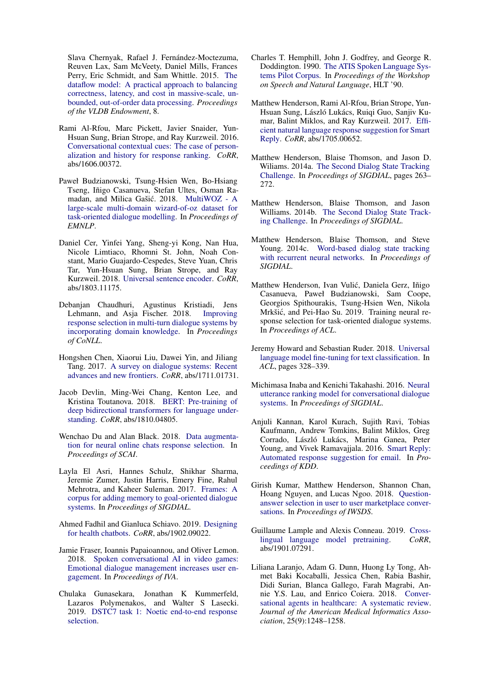Slava Chernyak, Rafael J. Fernández-Moctezuma, Reuven Lax, Sam McVeety, Daniel Mills, Frances Perry, Eric Schmidt, and Sam Whittle. 2015. [The](https://ai.google/research/pubs/pub43864) [dataflow model: A practical approach to balancing](https://ai.google/research/pubs/pub43864) [correctness, latency, and cost in massive-scale, un](https://ai.google/research/pubs/pub43864)[bounded, out-of-order data processing.](https://ai.google/research/pubs/pub43864) *Proceedings of the VLDB Endowment*, 8.

- <span id="page-6-11"></span>Rami Al-Rfou, Marc Pickett, Javier Snaider, Yun-Hsuan Sung, Brian Strope, and Ray Kurzweil. 2016. [Conversational contextual cues: The case of person](http://arxiv.org/abs/1606.00372)[alization and history for response ranking.](http://arxiv.org/abs/1606.00372) *CoRR*, abs/1606.00372.
- <span id="page-6-3"></span>Paweł Budzianowski, Tsung-Hsien Wen, Bo-Hsiang Tseng, Iñigo Casanueva, Stefan Ultes, Osman Ra-madan, and Milica Gašić. 2018. [MultiWOZ - A](http://aclweb.org/anthology/D18-1547) [large-scale multi-domain wizard-of-oz dataset for](http://aclweb.org/anthology/D18-1547) [task-oriented dialogue modelling.](http://aclweb.org/anthology/D18-1547) In *Proceedings of EMNLP*.
- <span id="page-6-15"></span>Daniel Cer, Yinfei Yang, Sheng-yi Kong, Nan Hua, Nicole Limtiaco, Rhomni St. John, Noah Constant, Mario Guajardo-Cespedes, Steve Yuan, Chris Tar, Yun-Hsuan Sung, Brian Strope, and Ray Kurzweil. 2018. [Universal sentence encoder.](http://arxiv.org/abs/1803.11175) *CoRR*, abs/1803.11175.
- <span id="page-6-19"></span>Debanjan Chaudhuri, Agustinus Kristiadi, Jens Lehmann, and Asja Fischer. 2018. [Improving](http://aclweb.org/anthology/K18-1048) [response selection in multi-turn dialogue systems by](http://aclweb.org/anthology/K18-1048) [incorporating domain knowledge.](http://aclweb.org/anthology/K18-1048) In *Proceedings of CoNLL*.
- <span id="page-6-5"></span>Hongshen Chen, Xiaorui Liu, Dawei Yin, and Jiliang Tang. 2017. [A survey on dialogue systems: Recent](http://arxiv.org/abs/1711.01731) [advances and new frontiers.](http://arxiv.org/abs/1711.01731) *CoRR*, abs/1711.01731.
- <span id="page-6-13"></span>Jacob Devlin, Ming-Wei Chang, Kenton Lee, and Kristina Toutanova. 2018. [BERT: Pre-training of](http://arxiv.org/abs/1810.04805) [deep bidirectional transformers for language under](http://arxiv.org/abs/1810.04805)[standing.](http://arxiv.org/abs/1810.04805) *CoRR*, abs/1810.04805.
- <span id="page-6-20"></span>Wenchao Du and Alan Black. 2018. [Data augmenta](http://aclweb.org/anthology/W18-5708)[tion for neural online chats response selection.](http://aclweb.org/anthology/W18-5708) In *Proceedings of SCAI*.
- <span id="page-6-1"></span>Layla El Asri, Hannes Schulz, Shikhar Sharma, Jeremie Zumer, Justin Harris, Emery Fine, Rahul Mehrotra, and Kaheer Suleman. 2017. [Frames: A](http://aclweb.org/anthology/W17-5526) [corpus for adding memory to goal-oriented dialogue](http://aclweb.org/anthology/W17-5526) [systems.](http://aclweb.org/anthology/W17-5526) In *Proceedings of SIGDIAL*.
- <span id="page-6-7"></span>Ahmed Fadhil and Gianluca Schiavo. 2019. [Designing](http://arxiv.org/abs/1902.09022) [for health chatbots.](http://arxiv.org/abs/1902.09022) *CoRR*, abs/1902.09022.
- <span id="page-6-4"></span>Jamie Fraser, Ioannis Papaioannou, and Oliver Lemon. 2018. [Spoken conversational AI in video games:](https://doi.org/10.1145/3267851.3267896) [Emotional dialogue management increases user en](https://doi.org/10.1145/3267851.3267896)[gagement.](https://doi.org/10.1145/3267851.3267896) In *Proceedings of IVA*.
- <span id="page-6-10"></span>Chulaka Gunasekara, Jonathan K Kummerfeld, Lazaros Polymenakos, and Walter S Lasecki. 2019. [DSTC7 task 1: Noetic end-to-end response](http://workshop.colips.org/dstc7/papers/dstc7_task1_final_report.pdf) [selection.](http://workshop.colips.org/dstc7/papers/dstc7_task1_final_report.pdf)
- <span id="page-6-0"></span>Charles T. Hemphill, John J. Godfrey, and George R. Doddington. 1990. [The ATIS Spoken Language Sys](https://www.aclweb.org/anthology/H90-1021)[tems Pilot Corpus.](https://www.aclweb.org/anthology/H90-1021) In *Proceedings of the Workshop on Speech and Natural Language*, HLT '90.
- <span id="page-6-18"></span>Matthew Henderson, Rami Al-Rfou, Brian Strope, Yun-Hsuan Sung, László Lukács, Ruiqi Guo, Sanjiv Kumar, Balint Miklos, and Ray Kurzweil. 2017. [Effi](http://arxiv.org/abs/1705.00652)[cient natural language response suggestion for Smart](http://arxiv.org/abs/1705.00652) [Reply.](http://arxiv.org/abs/1705.00652) *CoRR*, abs/1705.00652.
- <span id="page-6-8"></span>Matthew Henderson, Blaise Thomson, and Jason D. Wiliams. 2014a. [The Second Dialog State Tracking](http://www.aclweb.org/anthology/W14-4337) [Challenge.](http://www.aclweb.org/anthology/W14-4337) In *Proceedings of SIGDIAL*, pages 263– 272.
- <span id="page-6-9"></span>Matthew Henderson, Blaise Thomson, and Jason Williams. 2014b. [The Second Dialog State Track](https://www.aclweb.org/anthology/W14-4337)[ing Challenge.](https://www.aclweb.org/anthology/W14-4337) In *Proceedings of SIGDIAL*.
- <span id="page-6-2"></span>Matthew Henderson, Blaise Thomson, and Steve Young. 2014c. [Word-based dialog state tracking](http://www.sigdial.org/workshops/conference15/proceedings/pdf/W14-4340.pdf) [with recurrent neural networks.](http://www.sigdial.org/workshops/conference15/proceedings/pdf/W14-4340.pdf) In *Proceedings of SIGDIAL*.
- <span id="page-6-22"></span>Matthew Henderson, Ivan Vulic, Daniela Gerz, Iñigo ´ Casanueva, Paweł Budzianowski, Sam Coope, Georgios Spithourakis, Tsung-Hsien Wen, Nikola Mrkšić, and Pei-Hao Su. 2019. Training neural response selection for task-oriented dialogue systems. In *Proceedings of ACL*.
- <span id="page-6-12"></span>Jeremy Howard and Sebastian Ruder. 2018. [Universal](http://aclweb.org/anthology/P18-1031) [language model fine-tuning for text classification.](http://aclweb.org/anthology/P18-1031) In *ACL*, pages 328–339.
- <span id="page-6-17"></span>Michimasa Inaba and Kenichi Takahashi. 2016. [Neural](https://www.aclweb.org/anthology/W16-3648) [utterance ranking model for conversational dialogue](https://www.aclweb.org/anthology/W16-3648) [systems.](https://www.aclweb.org/anthology/W16-3648) In *Proceedings of SIGDIAL*.
- <span id="page-6-16"></span>Anjuli Kannan, Karol Kurach, Sujith Ravi, Tobias Kaufmann, Andrew Tomkins, Balint Miklos, Greg Corrado, László Lukács, Marina Ganea, Peter Young, and Vivek Ramavajjala. 2016. [Smart Reply:](https://doi.org/10.1145/2939672.2939801) [Automated response suggestion for email.](https://doi.org/10.1145/2939672.2939801) In *Proceedings of KDD*.
- <span id="page-6-21"></span>Girish Kumar, Matthew Henderson, Shannon Chan, Hoang Nguyen, and Lucas Ngoo. 2018. [Question](https://arxiv.org/pdf/1802.01766)[answer selection in user to user marketplace conver](https://arxiv.org/pdf/1802.01766)[sations.](https://arxiv.org/pdf/1802.01766) In *Proceedings of IWSDS*.
- <span id="page-6-14"></span>Guillaume Lample and Alexis Conneau. 2019. [Cross](http://arxiv.org/abs/1901.07291)[lingual language model pretraining.](http://arxiv.org/abs/1901.07291) *CoRR*, abs/1901.07291.
- <span id="page-6-6"></span>Liliana Laranjo, Adam G. Dunn, Huong Ly Tong, Ahmet Baki Kocaballi, Jessica Chen, Rabia Bashir, Didi Surian, Blanca Gallego, Farah Magrabi, Annie Y.S. Lau, and Enrico Coiera. 2018. [Conver](https://www.ncbi.nlm.nih.gov/pubmed/30010941)[sational agents in healthcare: A systematic review.](https://www.ncbi.nlm.nih.gov/pubmed/30010941) *Journal of the American Medical Informatics Association*, 25(9):1248–1258.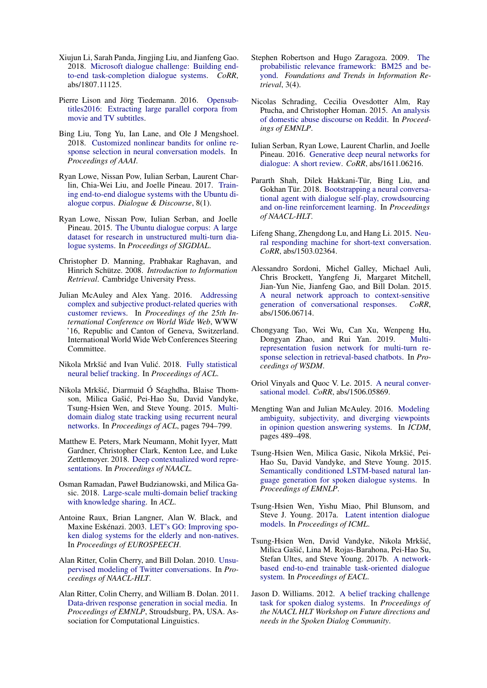- <span id="page-7-8"></span>Xiujun Li, Sarah Panda, Jingjing Liu, and Jianfeng Gao. 2018. [Microsoft dialogue challenge: Building end](http://arxiv.org/abs/1807.11125)[to-end task-completion dialogue systems.](http://arxiv.org/abs/1807.11125) *CoRR*, abs/1807.11125.
- <span id="page-7-15"></span>Pierre Lison and Jörg Tiedemann. 2016. [Opensub](http://www.lrec-conf.org/proceedings/lrec2016/pdf/947_Paper.pdf)[titles2016: Extracting large parallel corpora from](http://www.lrec-conf.org/proceedings/lrec2016/pdf/947_Paper.pdf) [movie and TV subtitles.](http://www.lrec-conf.org/proceedings/lrec2016/pdf/947_Paper.pdf)
- <span id="page-7-22"></span>Bing Liu, Tong Yu, Ian Lane, and Ole J Mengshoel. 2018. [Customized nonlinear bandits for online re](https://arxiv.org/pdf/1711.08493.pdf)[sponse selection in neural conversation models.](https://arxiv.org/pdf/1711.08493.pdf) In *Proceedings of AAAI*.
- <span id="page-7-13"></span>Ryan Lowe, Nissan Pow, Iulian Serban, Laurent Charlin, Chia-Wei Liu, and Joelle Pineau. 2017. [Train](http://dad.uni-bielefeld.de/index.php/dad/article/view/3698)[ing end-to-end dialogue systems with the Ubuntu di](http://dad.uni-bielefeld.de/index.php/dad/article/view/3698)[alogue corpus.](http://dad.uni-bielefeld.de/index.php/dad/article/view/3698) *Dialogue & Discourse*, 8(1).
- <span id="page-7-12"></span>Ryan Lowe, Nissan Pow, Iulian Serban, and Joelle Pineau. 2015. [The Ubuntu dialogue corpus: A large](https://aclweb.org/anthology/W15-4640) [dataset for research in unstructured multi-turn dia](https://aclweb.org/anthology/W15-4640)[logue systems.](https://aclweb.org/anthology/W15-4640) In *Proceedings of SIGDIAL*.
- <span id="page-7-24"></span>Christopher D. Manning, Prabhakar Raghavan, and Hinrich Schütze. 2008. *Introduction to Information Retrieval*. Cambridge University Press.
- <span id="page-7-17"></span>Julian McAuley and Alex Yang. 2016. [Addressing](https://doi.org/10.1145/2872427.2883044) [complex and subjective product-related queries with](https://doi.org/10.1145/2872427.2883044) [customer reviews.](https://doi.org/10.1145/2872427.2883044) In *Proceedings of the 25th International Conference on World Wide Web*, WWW '16, Republic and Canton of Geneva, Switzerland. International World Wide Web Conferences Steering Committee.
- <span id="page-7-6"></span>Nikola Mrkšić and Ivan Vulić. 2018. [Fully statistical](http://aclweb.org/anthology/P18-2018) [neural belief tracking.](http://aclweb.org/anthology/P18-2018) In *Proceedings of ACL*.
- <span id="page-7-9"></span>Nikola Mrkšic, Diarmuid Ó Séaghdha, Blaise Thom- ´ son, Milica Gašic, Pei-Hao Su, David Vandyke, ´ Tsung-Hsien Wen, and Steve Young. 2015. [Multi](http://aclweb.org/anthology/P15-2130)[domain dialog state tracking using recurrent neural](http://aclweb.org/anthology/P15-2130) [networks.](http://aclweb.org/anthology/P15-2130) In *Proceedings of ACL*, pages 794–799.
- <span id="page-7-26"></span>Matthew E. Peters, Mark Neumann, Mohit Iyyer, Matt Gardner, Christopher Clark, Kenton Lee, and Luke Zettlemoyer. 2018. [Deep contextualized word repre](https://arxiv.org/abs/1802.05365)[sentations.](https://arxiv.org/abs/1802.05365) In *Proceedings of NAACL*.
- <span id="page-7-7"></span>Osman Ramadan, Paweł Budzianowski, and Milica Gasic. 2018. [Large-scale multi-domain belief tracking](https://www.aclweb.org/anthology/P18-2069) [with knowledge sharing.](https://www.aclweb.org/anthology/P18-2069) In *ACL*.
- <span id="page-7-1"></span>Antoine Raux, Brian Langner, Alan W. Black, and Maxine Eskénazi. 2003. [LET's GO: Improving spo](http://www.isca-speech.org/archive/eurospeech_2003/e03_0753.html)[ken dialog systems for the elderly and non-natives.](http://www.isca-speech.org/archive/eurospeech_2003/e03_0753.html) In *Proceedings of EUROSPEECH*.
- <span id="page-7-11"></span>Alan Ritter, Colin Cherry, and Bill Dolan. 2010. [Unsu](http://www.aclweb.org/anthology/N10-1020)[pervised modeling of Twitter conversations.](http://www.aclweb.org/anthology/N10-1020) In *Proceedings of NAACL-HLT*.
- <span id="page-7-19"></span>Alan Ritter, Colin Cherry, and William B. Dolan. 2011. [Data-driven response generation in social media.](http://dl.acm.org/citation.cfm?id=2145432.2145500) In *Proceedings of EMNLP*, Stroudsburg, PA, USA. Association for Computational Linguistics.
- <span id="page-7-25"></span>Stephen Robertson and Hugo Zaragoza. 2009. [The](http://dx.doi.org/10.1561/1500000019) [probabilistic relevance framework: BM25 and be](http://dx.doi.org/10.1561/1500000019)[yond.](http://dx.doi.org/10.1561/1500000019) *Foundations and Trends in Information Retrieval*, 3(4).
- <span id="page-7-14"></span>Nicolas Schrading, Cecilia Ovesdotter Alm, Ray Ptucha, and Christopher Homan. 2015. [An analysis](http://aclweb.org/anthology/D/D15/D15-1309.pdf) [of domestic abuse discourse on Reddit.](http://aclweb.org/anthology/D/D15/D15-1309.pdf) In *Proceedings of EMNLP*.
- <span id="page-7-18"></span>Iulian Serban, Ryan Lowe, Laurent Charlin, and Joelle Pineau. 2016. [Generative deep neural networks for](https://arxiv.org/pdf/1611.06216.pdf) [dialogue: A short review.](https://arxiv.org/pdf/1611.06216.pdf) *CoRR*, abs/1611.06216.
- <span id="page-7-10"></span>Pararth Shah, Dilek Hakkani-Tür, Bing Liu, and Gokhan Tür. 2018. [Bootstrapping a neural conversa](http://aclweb.org/anthology/N18-3006)[tional agent with dialogue self-play, crowdsourcing](http://aclweb.org/anthology/N18-3006) [and on-line reinforcement learning.](http://aclweb.org/anthology/N18-3006) In *Proceedings of NAACL-HLT*.
- <span id="page-7-21"></span>Lifeng Shang, Zhengdong Lu, and Hang Li. 2015. [Neu](http://dblp.uni-trier.de/db/journals/corr/corr1503.html#ShangLL15)[ral responding machine for short-text conversation.](http://dblp.uni-trier.de/db/journals/corr/corr1503.html#ShangLL15) *CoRR*, abs/1503.02364.
- <span id="page-7-20"></span>Alessandro Sordoni, Michel Galley, Michael Auli, Chris Brockett, Yangfeng Ji, Margaret Mitchell, Jian-Yun Nie, Jianfeng Gao, and Bill Dolan. 2015. [A neural network approach to context-sensitive](http://dblp.uni-trier.de/db/journals/corr/corr1506.html#SordoniGABJMNGD15) [generation of conversational responses.](http://dblp.uni-trier.de/db/journals/corr/corr1506.html#SordoniGABJMNGD15) *CoRR*, abs/1506.06714.
- <span id="page-7-23"></span>Chongyang Tao, Wei Wu, Can Xu, Wenpeng Hu, Dongyan Zhao, and Rui Yan. 2019. [Multi](http://doi.acm.org/10.1145/3289600.3290985)[representation fusion network for multi-turn re](http://doi.acm.org/10.1145/3289600.3290985)[sponse selection in retrieval-based chatbots.](http://doi.acm.org/10.1145/3289600.3290985) In *Proceedings of WSDM*.
- <span id="page-7-2"></span>Oriol Vinyals and Quoc V. Le. 2015. [A neural conver](http://dblp.uni-trier.de/db/journals/corr/corr1506.html#VinyalsL15)[sational model.](http://dblp.uni-trier.de/db/journals/corr/corr1506.html#VinyalsL15) *CoRR*, abs/1506.05869.
- <span id="page-7-16"></span>Mengting Wan and Julian McAuley. 2016. [Modeling](https://doi.org/10.1109/ICDM.2016.0060) [ambiguity, subjectivity, and diverging viewpoints](https://doi.org/10.1109/ICDM.2016.0060) [in opinion question answering systems.](https://doi.org/10.1109/ICDM.2016.0060) In *ICDM*, pages 489–498.
- <span id="page-7-3"></span>Tsung-Hsien Wen, Milica Gasic, Nikola Mrkšic, Pei- ´ Hao Su, David Vandyke, and Steve Young. 2015. [Semantically conditioned LSTM-based natural lan](http://aclweb.org/anthology/D15-1199)[guage generation for spoken dialogue systems.](http://aclweb.org/anthology/D15-1199) In *Proceedings of EMNLP*.
- <span id="page-7-4"></span>Tsung-Hsien Wen, Yishu Miao, Phil Blunsom, and Steve J. Young. 2017a. [Latent intention dialogue](http://proceedings.mlr.press/v70/wen17a.html) [models.](http://proceedings.mlr.press/v70/wen17a.html) In *Proceedings of ICML*.
- <span id="page-7-5"></span>Tsung-Hsien Wen, David Vandyke, Nikola Mrkšic,´ Milica Gašic, Lina M. Rojas-Barahona, Pei-Hao Su, ´ Stefan Ultes, and Steve Young. 2017b. [A network](http://www.aclweb.org/anthology/E17-1042)[based end-to-end trainable task-oriented dialogue](http://www.aclweb.org/anthology/E17-1042) [system.](http://www.aclweb.org/anthology/E17-1042) In *Proceedings of EACL*.
- <span id="page-7-0"></span>Jason D. Williams. 2012. [A belief tracking challenge](https://aclweb.org/anthology/W12-1812) [task for spoken dialog systems.](https://aclweb.org/anthology/W12-1812) In *Proceedings of the NAACL HLT Workshop on Future directions and needs in the Spoken Dialog Community*.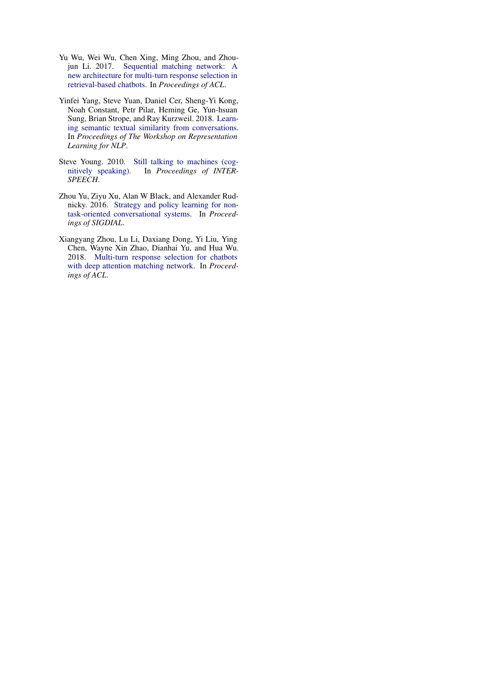- <span id="page-8-3"></span>Yu Wu, Wei Wu, Chen Xing, Ming Zhou, and Zhoujun Li. 2017. [Sequential matching network: A](http://aclweb.org/anthology/P17-1046) [new architecture for multi-turn response selection in](http://aclweb.org/anthology/P17-1046) [retrieval-based chatbots.](http://aclweb.org/anthology/P17-1046) In *Proceedings of ACL*.
- <span id="page-8-1"></span>Yinfei Yang, Steve Yuan, Daniel Cer, Sheng-Yi Kong, Noah Constant, Petr Pilar, Heming Ge, Yun-hsuan Sung, Brian Strope, and Ray Kurzweil. 2018. [Learn](http://aclweb.org/anthology/W18-3022)[ing semantic textual similarity from conversations.](http://aclweb.org/anthology/W18-3022) In *Proceedings of The Workshop on Representation Learning for NLP*.
- <span id="page-8-0"></span>Steve Young. 2010. [Still talking to machines \(cog](http://mi.eng.cam.ac.uk/~sjy/papers/youn10a.pdf)[nitively speaking\).](http://mi.eng.cam.ac.uk/~sjy/papers/youn10a.pdf) In *Proceedings of INTER-SPEECH*.
- <span id="page-8-2"></span>Zhou Yu, Ziyu Xu, Alan W Black, and Alexander Rudnicky. 2016. [Strategy and policy learning for non](https://aclweb.org/anthology/W16-3649)[task-oriented conversational systems.](https://aclweb.org/anthology/W16-3649) In *Proceedings of SIGDIAL*.
- <span id="page-8-4"></span>Xiangyang Zhou, Lu Li, Daxiang Dong, Yi Liu, Ying Chen, Wayne Xin Zhao, Dianhai Yu, and Hua Wu. 2018. [Multi-turn response selection for chatbots](http://aclweb.org/anthology/P18-1103) [with deep attention matching network.](http://aclweb.org/anthology/P18-1103) In *Proceedings of ACL*.